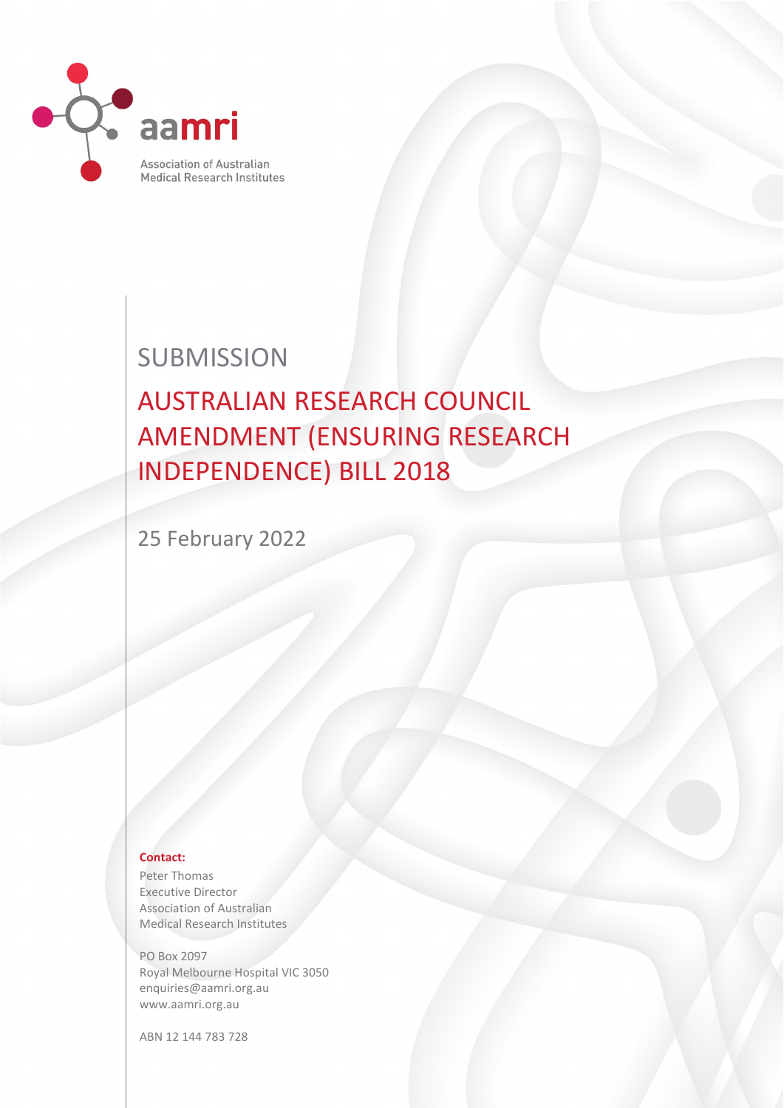

## **SUBMISSION**

# AUSTRALIAN RESEARCH COUNCIL AMENDMENT (ENSURING RESEARCH INDEPENDENCE) BILL 2018

25 February 2022

#### **Contact:**

Peter Thomas Executive Director Association of Australian Medical Research Institutes

PO Box 2097 Royal Melbourne Hospital VIC 3050 enquiries@aamri.org.au www.aamri.org.au

ABN 12 144 783 728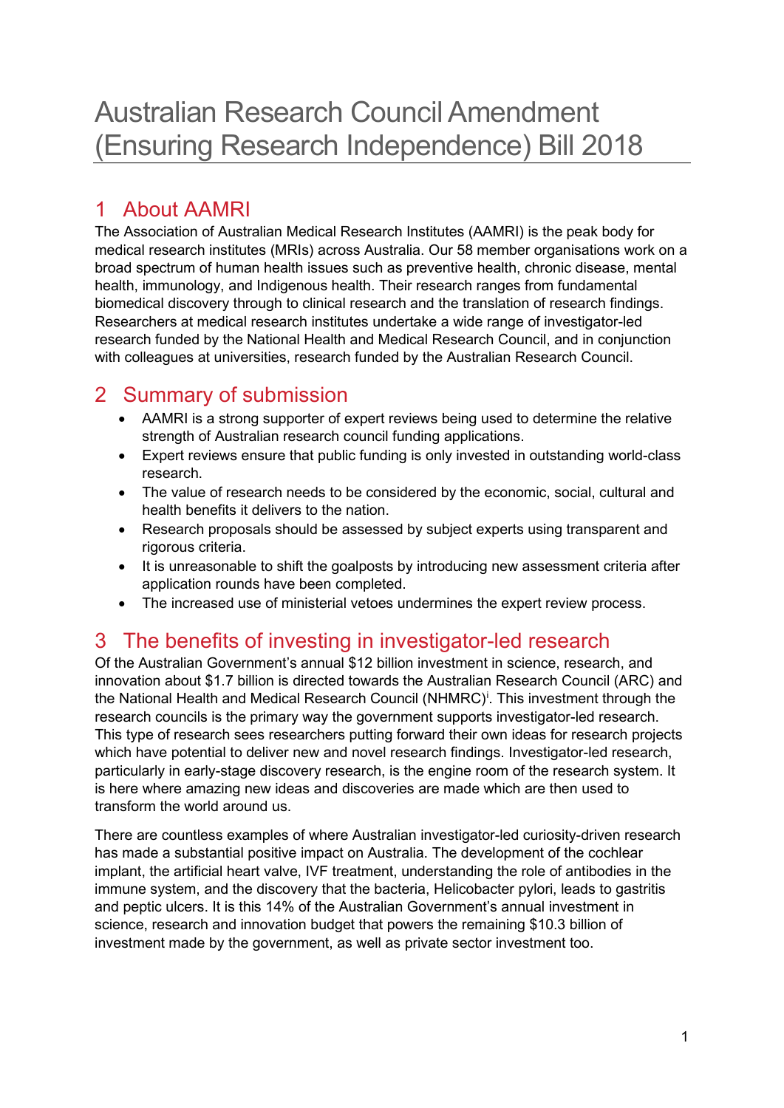### 1 About AAMRI

The Association of Australian Medical Research Institutes (AAMRI) is the peak body for medical research institutes (MRIs) across Australia. Our 58 member organisations work on a broad spectrum of human health issues such as preventive health, chronic disease, mental health, immunology, and Indigenous health. Their research ranges from fundamental biomedical discovery through to clinical research and the translation of research findings. Researchers at medical research institutes undertake a wide range of investigator-led research funded by the National Health and Medical Research Council, and in conjunction with colleagues at universities, research funded by the Australian Research Council.

#### 2 Summary of submission

- AAMRI is a strong supporter of expert reviews being used to determine the relative strength of Australian research council funding applications.
- Expert reviews ensure that public funding is only invested in outstanding world-class research.
- The value of research needs to be considered by the economic, social, cultural and health benefits it delivers to the nation.
- Research proposals should be assessed by subject experts using transparent and rigorous criteria.
- It is unreasonable to shift the goalposts by introducing new assessment criteria after application rounds have been completed.
- The increased use of ministerial vetoes undermines the expert review process.

#### 3 The benefits of investing in investigator-led research

Of the Australian Government's annual \$12 billion investment in science, research, and innovation about \$1.7 billion is directed towards the Australian Research Council (ARC) and the Nat[i](#page-3-0)onal Health and Medical Research Council (NHMRC)<sup>i</sup>. This investment through the research councils is the primary way the government supports investigator-led research. This type of research sees researchers putting forward their own ideas for research projects which have potential to deliver new and novel research findings. Investigator-led research, particularly in early-stage discovery research, is the engine room of the research system. It is here where amazing new ideas and discoveries are made which are then used to transform the world around us.

There are countless examples of where Australian investigator-led curiosity-driven research has made a substantial positive impact on Australia. The development of the cochlear implant, the artificial heart valve, IVF treatment, understanding the role of antibodies in the immune system, and the discovery that the bacteria, Helicobacter pylori, leads to gastritis and peptic ulcers. It is this 14% of the Australian Government's annual investment in science, research and innovation budget that powers the remaining \$10.3 billion of investment made by the government, as well as private sector investment too.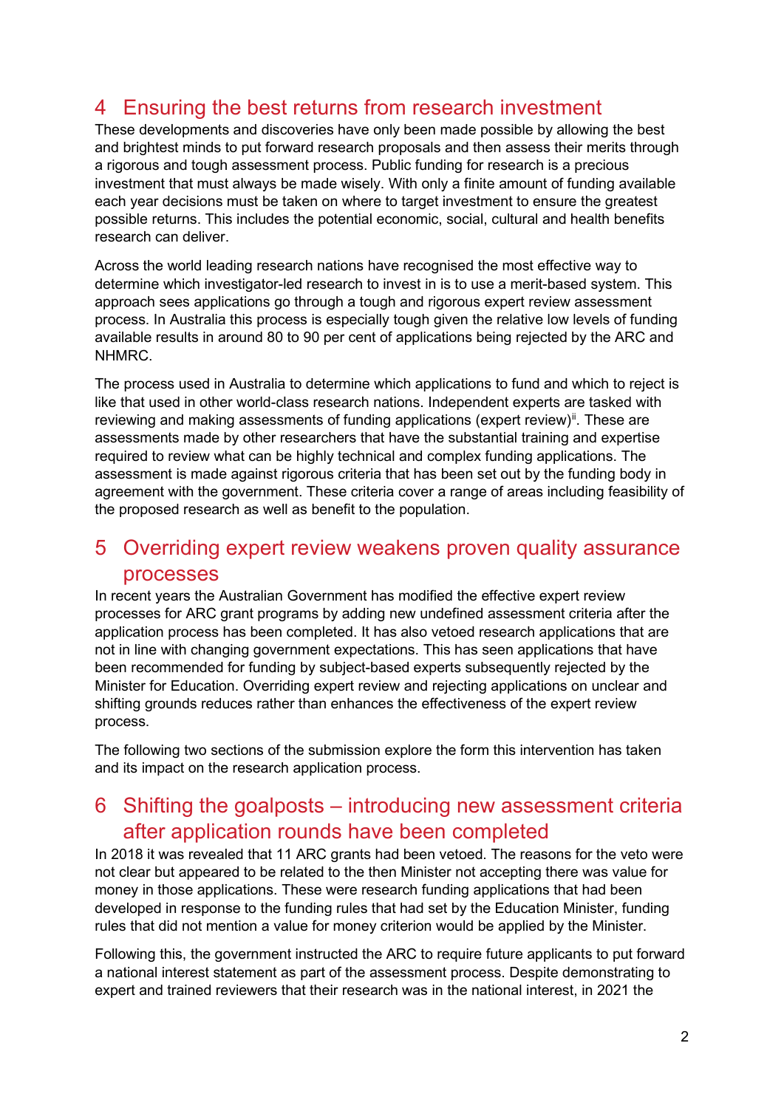#### 4 Ensuring the best returns from research investment

These developments and discoveries have only been made possible by allowing the best and brightest minds to put forward research proposals and then assess their merits through a rigorous and tough assessment process. Public funding for research is a precious investment that must always be made wisely. With only a finite amount of funding available each year decisions must be taken on where to target investment to ensure the greatest possible returns. This includes the potential economic, social, cultural and health benefits research can deliver.

Across the world leading research nations have recognised the most effective way to determine which investigator-led research to invest in is to use a merit-based system. This approach sees applications go through a tough and rigorous expert review assessment process. In Australia this process is especially tough given the relative low levels of funding available results in around 80 to 90 per cent of applications being rejected by the ARC and NHMRC.

The process used in Australia to determine which applications to fund and which to reject is like that used in other world-class research nations. Independent experts are tasked with reviewing and making assessments of funding applications (expert review) $\mathbf{u}$ . These are assessments made by other researchers that have the substantial training and expertise required to review what can be highly technical and complex funding applications. The assessment is made against rigorous criteria that has been set out by the funding body in agreement with the government. These criteria cover a range of areas including feasibility of the proposed research as well as benefit to the population.

#### 5 Overriding expert review weakens proven quality assurance processes

In recent years the Australian Government has modified the effective expert review processes for ARC grant programs by adding new undefined assessment criteria after the application process has been completed. It has also vetoed research applications that are not in line with changing government expectations. This has seen applications that have been recommended for funding by subject-based experts subsequently rejected by the Minister for Education. Overriding expert review and rejecting applications on unclear and shifting grounds reduces rather than enhances the effectiveness of the expert review process.

The following two sections of the submission explore the form this intervention has taken and its impact on the research application process.

#### 6 Shifting the goalposts – introducing new assessment criteria after application rounds have been completed

In 2018 it was revealed that 11 ARC grants had been vetoed. The reasons for the veto were not clear but appeared to be related to the then Minister not accepting there was value for money in those applications. These were research funding applications that had been developed in response to the funding rules that had set by the Education Minister, funding rules that did not mention a value for money criterion would be applied by the Minister.

Following this, the government instructed the ARC to require future applicants to put forward a national interest statement as part of the assessment process. Despite demonstrating to expert and trained reviewers that their research was in the national interest, in 2021 the